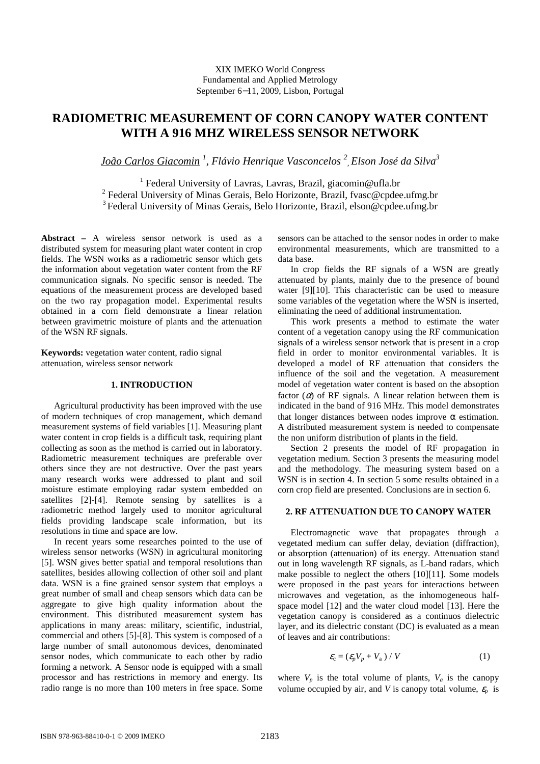## XIX IMEKO World Congress Fundamental and Applied Metrology September 6−11, 2009, Lisbon, Portugal

# **RADIOMETRIC MEASUREMENT OF CORN CANOPY WATER CONTENT WITH A 916 MHZ WIRELESS SENSOR NETWORK**

*João Carlos Giacomin <sup>1</sup> , Flávio Henrique Vasconcelos <sup>2</sup> , Elson José da Silva<sup>3</sup>*

<sup>1</sup> Federal University of Lavras, Lavras, Brazil, giacomin@ufla.br <sup>2</sup> Federal University of Minas Gerais, Belo Horizonte, Brazil, fvasc@cpdee.ufmg.br  $3$  Federal University of Minas Gerais, Belo Horizonte, Brazil, elson@cpdee.ufmg.br

**Abstract –** A wireless sensor network is used as a distributed system for measuring plant water content in crop fields. The WSN works as a radiometric sensor which gets the information about vegetation water content from the RF communication signals. No specific sensor is needed. The equations of the measurement process are developed based on the two ray propagation model. Experimental results obtained in a corn field demonstrate a linear relation between gravimetric moisture of plants and the attenuation of the WSN RF signals.

**Keywords:** vegetation water content, radio signal attenuation, wireless sensor network

## **1. INTRODUCTION**

Agricultural productivity has been improved with the use of modern techniques of crop management, which demand measurement systems of field variables [1]. Measuring plant water content in crop fields is a difficult task, requiring plant collecting as soon as the method is carried out in laboratory. Radiometric measurement techniques are preferable over others since they are not destructive. Over the past years many research works were addressed to plant and soil moisture estimate employing radar system embedded on satellites [2]-[4]. Remote sensing by satellites is a radiometric method largely used to monitor agricultural fields providing landscape scale information, but its resolutions in time and space are low.

In recent years some researches pointed to the use of wireless sensor networks (WSN) in agricultural monitoring [5]. WSN gives better spatial and temporal resolutions than satellites, besides allowing collection of other soil and plant data. WSN is a fine grained sensor system that employs a great number of small and cheap sensors which data can be aggregate to give high quality information about the environment. This distributed measurement system has applications in many areas: military, scientific, industrial, commercial and others [5]-[8]. This system is composed of a large number of small autonomous devices, denominated sensor nodes, which communicate to each other by radio forming a network. A Sensor node is equipped with a small processor and has restrictions in memory and energy. Its radio range is no more than 100 meters in free space. Some

sensors can be attached to the sensor nodes in order to make environmental measurements, which are transmitted to a data base.

In crop fields the RF signals of a WSN are greatly attenuated by plants, mainly due to the presence of bound water [9][10]. This characteristic can be used to measure some variables of the vegetation where the WSN is inserted, eliminating the need of additional instrumentation.

This work presents a method to estimate the water content of a vegetation canopy using the RF communication signals of a wireless sensor network that is present in a crop field in order to monitor environmental variables. It is developed a model of RF attenuation that considers the influence of the soil and the vegetation. A measurement model of vegetation water content is based on the absoption factor  $(\alpha)$  of RF signals. A linear relation between them is indicated in the band of 916 MHz. This model demonstrates that longer distances between nodes improve  $\alpha$  estimation. A distributed measurement system is needed to compensate the non uniform distribution of plants in the field.

Section 2 presents the model of RF propagation in vegetation medium. Section 3 presents the measuring model and the methodology. The measuring system based on a WSN is in section 4. In section 5 some results obtained in a corn crop field are presented. Conclusions are in section 6.

#### **2. RF ATTENUATION DUE TO CANOPY WATER**

Electromagnetic wave that propagates through a vegetated medium can suffer delay, deviation (diffraction), or absorption (attenuation) of its energy. Attenuation stand out in long wavelength RF signals, as L-band radars, which make possible to neglect the others [10][11]. Some models were proposed in the past years for interactions between microwaves and vegetation, as the inhomogeneous halfspace model [12] and the water cloud model [13]. Here the vegetation canopy is considered as a continuos dielectric layer, and its dielectric constant (DC) is evaluated as a mean of leaves and air contributions:

$$
\mathcal{E}_{\rm c} = \left( \mathcal{E}_{p} V_{p} + V_{\rm a} \right) / V \tag{1}
$$

where  $V_p$  is the total volume of plants,  $V_a$  is the canopy volume occupied by air, and *V* is canopy total volume,  $\varepsilon$ <sub>p</sub> is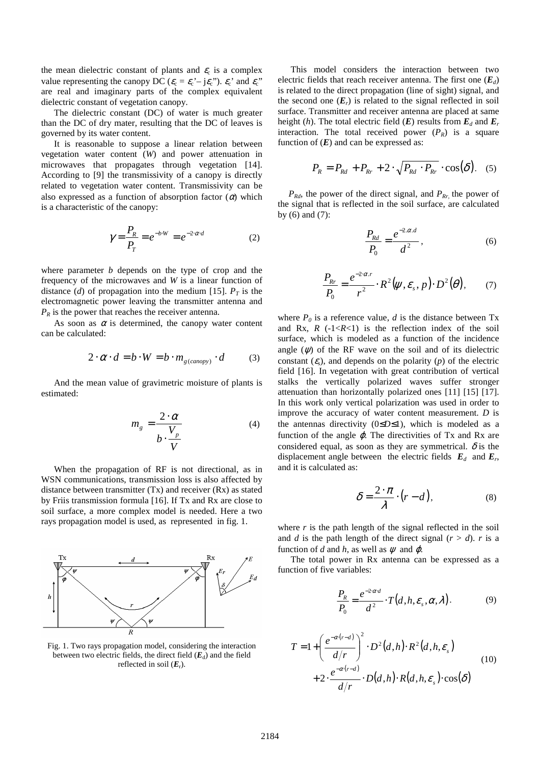the mean dielectric constant of plants and  $\varepsilon_c$  is a complex value representing the canopy DC ( $\varepsilon_c = \varepsilon_c - j\varepsilon_c$ ").  $\varepsilon_c$  and  $\varepsilon_c$ " are real and imaginary parts of the complex equivalent dielectric constant of vegetation canopy.

The dielectric constant (DC) of water is much greater than the DC of dry mater, resulting that the DC of leaves is governed by its water content.

It is reasonable to suppose a linear relation between vegetation water content (*W*) and power attenuation in microwaves that propagates through vegetation [14]. According to [9] the transmissivity of a canopy is directly related to vegetation water content. Transmissivity can be also expressed as a function of absorption factor  $(\alpha)$  which is a characteristic of the canopy:

$$
\gamma = \frac{P_R}{P_T} = e^{-b \cdot W} = e^{-2 \cdot \alpha \cdot d} \tag{2}
$$

where parameter *b* depends on the type of crop and the frequency of the microwaves and *W* is a linear function of distance (*d*) of propagation into the medium [15].  $P_T$  is the electromagnetic power leaving the transmitter antenna and  $P_R$  is the power that reaches the receiver antenna.

As soon as  $\alpha$  is determined, the canopy water content can be calculated:

$$
2 \cdot \alpha \cdot d = b \cdot W = b \cdot m_{g(canopy)} \cdot d \tag{3}
$$

And the mean value of gravimetric moisture of plants is estimated:

$$
m_g = \frac{2 \cdot \alpha}{b \cdot \frac{V_p}{V}}
$$
 (4)

When the propagation of RF is not directional, as in WSN communications, transmission loss is also affected by distance between transmitter (Tx) and receiver (Rx) as stated by Friis transmission formula [16]. If Tx and Rx are close to soil surface, a more complex model is needed. Here a two rays propagation model is used, as represented in fig. 1.



Fig. 1. Two rays propagation model, considering the interaction between two electric fields, the direct field  $(E_d)$  and the field reflected in soil (*E*<sup>r</sup> ).

This model considers the interaction between two electric fields that reach receiver antenna. The first one  $(E_d)$ is related to the direct propagation (line of sight) signal, and the second one  $(E_r)$  is related to the signal reflected in soil surface. Transmitter and receiver antenna are placed at same height (*h*). The total electric field (*E*) results from  $E_d$  and  $E_r$ interaction. The total received power  $(P_R)$  is a square function of  $(E)$  and can be expressed as:

$$
P_R = P_{Rd} + P_{Rr} + 2 \cdot \sqrt{P_{Rd} \cdot P_{Rr}} \cdot \cos(\delta). \quad (5)
$$

*PRd*, the power of the direct signal, and *PRr,* the power of the signal that is reflected in the soil surface, are calculated by (6) and (7):

$$
\frac{P_{Rd}}{P_0} = \frac{e^{-2\alpha d}}{d^2},
$$
\n(6)

$$
\frac{P_{Rr}}{P_0} = \frac{e^{-2\alpha r}}{r^2} \cdot R^2(\psi, \varepsilon_s, p) \cdot D^2(\theta), \qquad (7)
$$

where  $P_0$  is a reference value, *d* is the distance between Tx and Rx,  $R$  ( $-1 < R < 1$ ) is the reflection index of the soil surface, which is modeled as a function of the incidence angle  $(\psi)$  of the RF wave on the soil and of its dielectric constant  $(\varepsilon_s)$ , and depends on the polarity  $(p)$  of the electric field [16]. In vegetation with great contribution of vertical stalks the vertically polarized waves suffer stronger attenuation than horizontally polarized ones [11] [15] [17]. In this work only vertical polarization was used in order to improve the accuracy of water content measurement. *D* is the antennas directivity (0≤*D*≤1), which is modeled as a function of the angle  $\varphi$ . The directivities of Tx and Rx are considered equal, as soon as they are symmetrical.  $\delta$  is the displacement angle between the electric fields  $E_d$  and  $E_r$ , and it is calculated as:

$$
\delta = \frac{2 \cdot \pi}{\lambda} \cdot (r - d), \tag{8}
$$

where  $r$  is the path length of the signal reflected in the soil and *d* is the path length of the direct signal  $(r > d)$ . *r* is a function of *d* and *h*, as well as  $\psi$  and  $\varphi$ .

The total power in Rx antenna can be expressed as a function of five variables:

$$
\frac{P_R}{P_0} = \frac{e^{-2\alpha d}}{d^2} \cdot T(d, h, \varepsilon_s, \alpha, \lambda).
$$
 (9)

$$
T = 1 + \left(\frac{e^{-\alpha(r-d)}}{d/r}\right)^2 \cdot D^2(d,h) \cdot R^2(d,h,\varepsilon_s)
$$
  
+2. 
$$
\frac{e^{-\alpha(r-d)}}{d/r} \cdot D(d,h) \cdot R(d,h,\varepsilon_s) \cdot \cos(\delta)
$$
 (10)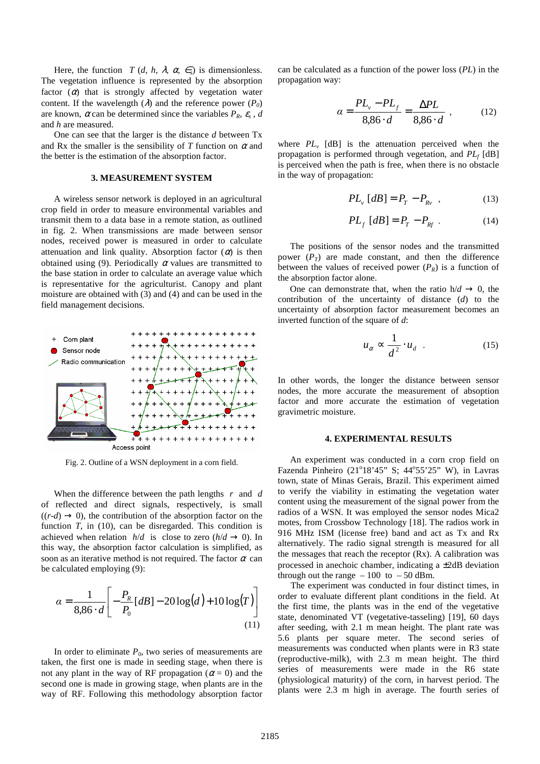Here, the function *T* (*d, h,*  $\lambda$ *,*  $\alpha$ *, ∈<sub>s</sub>)* is dimensionless. The vegetation influence is represented by the absorption factor  $(\alpha)$  that is strongly affected by vegetation water content. If the wavelength  $(\lambda)$  and the reference power  $(P_0)$ are known,  $\alpha$  can be determined since the variables  $P_R$ ,  $\varepsilon_s$ ,  $d$ and *h* are measured.

One can see that the larger is the distance *d* between Tx and Rx the smaller is the sensibility of  $T$  function on  $\alpha$  and the better is the estimation of the absorption factor.

#### **3. MEASUREMENT SYSTEM**

A wireless sensor network is deployed in an agricultural crop field in order to measure environmental variables and transmit them to a data base in a remote station, as outlined in fig. 2. When transmissions are made between sensor nodes, received power is measured in order to calculate attenuation and link quality. Absorption factor  $(\alpha)$  is then obtained using (9). Periodically  $\alpha$  values are transmitted to the base station in order to calculate an average value which is representative for the agriculturist. Canopy and plant moisture are obtained with (3) and (4) and can be used in the field management decisions.



Fig. 2. Outline of a WSN deployment in a corn field.

When the difference between the path lengths *r* and *d* of reflected and direct signals, respectively, is small  $((r-d) \rightarrow 0)$ , the contribution of the absorption factor on the function *T*, in (10), can be disregarded. This condition is achieved when relation  $h/d$  is close to zero  $(h/d \rightarrow 0)$ . In this way, the absorption factor calculation is simplified, as soon as an iterative method is not required. The factor  $\alpha$  can be calculated employing (9):

$$
\alpha = \frac{1}{8,86 \cdot d} \left[ -\frac{P_R}{P_0} [dB] - 20 \log(d) + 10 \log(T) \right]
$$
\n(11)

In order to eliminate  $P_0$ , two series of measurements are taken, the first one is made in seeding stage, when there is not any plant in the way of RF propagation ( $\alpha = 0$ ) and the second one is made in growing stage, when plants are in the way of RF. Following this methodology absorption factor

can be calculated as a function of the power loss (*PL*) in the propagation way:

$$
\alpha = \frac{PL_{v} - PL_{f}}{8,86 \cdot d} = \frac{\Delta PL}{8,86 \cdot d} \tag{12}
$$

where  $PL_v$  [dB] is the attenuation perceived when the propagation is performed through vegetation, and *PL<sup>f</sup>* [dB] is perceived when the path is free, when there is no obstacle in the way of propagation:

$$
PL_{\nu}[dB] = P_T - P_{R\nu} \quad , \tag{13}
$$

$$
PL_f [dB] = P_T - P_{Rf} . \qquad (14)
$$

The positions of the sensor nodes and the transmitted power  $(P_T)$  are made constant, and then the difference between the values of received power  $(P_R)$  is a function of the absorption factor alone.

One can demonstrate that, when the ratio  $h/d \rightarrow 0$ , the contribution of the uncertainty of distance (*d*) to the uncertainty of absorption factor measurement becomes an inverted function of the square of *d*:

$$
u_{\alpha} \propto \frac{1}{d^2} \cdot u_d \quad . \tag{15}
$$

In other words, the longer the distance between sensor nodes, the more accurate the measurement of absoption factor and more accurate the estimation of vegetation gravimetric moisture.

#### **4. EXPERIMENTAL RESULTS**

An experiment was conducted in a corn crop field on Fazenda Pinheiro (21°18'45" S; 44°55'25" W), in Lavras town, state of Minas Gerais, Brazil. This experiment aimed to verify the viability in estimating the vegetation water content using the measurement of the signal power from the radios of a WSN. It was employed the sensor nodes Mica2 motes, from Crossbow Technology [18]. The radios work in 916 MHz ISM (license free) band and act as Tx and Rx alternatively. The radio signal strength is measured for all the messages that reach the receptor  $(Rx)$ . A calibration was processed in anechoic chamber, indicating a ±2dB deviation through out the range  $-100$  to  $-50$  dBm.

The experiment was conducted in four distinct times, in order to evaluate different plant conditions in the field. At the first time, the plants was in the end of the vegetative state, denominated VT (vegetative-tasseling) [19], 60 days after seeding, with 2.1 m mean height. The plant rate was 5.6 plants per square meter. The second series of measurements was conducted when plants were in R3 state (reproductive-milk), with 2.3 m mean height. The third series of measurements were made in the R6 state (physiological maturity) of the corn, in harvest period. The plants were 2.3 m high in average. The fourth series of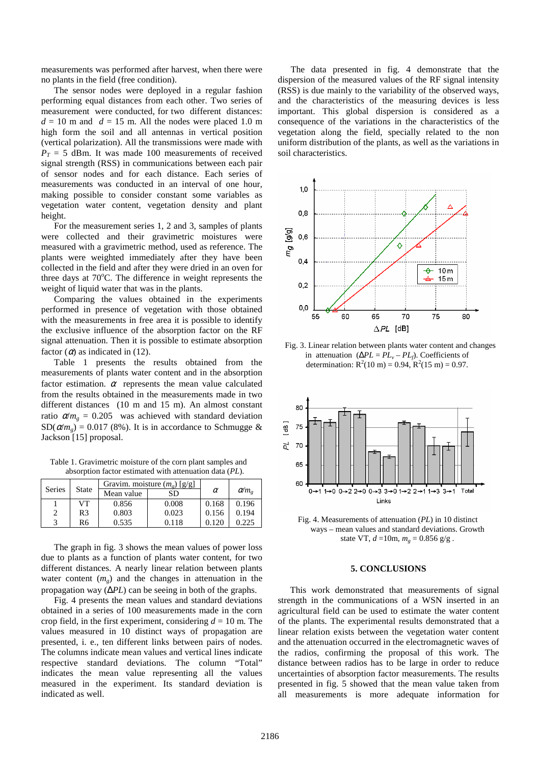measurements was performed after harvest, when there were no plants in the field (free condition).

The sensor nodes were deployed in a regular fashion performing equal distances from each other. Two series of measurement were conducted, for two different distances:  $d = 10$  m and  $d = 15$  m. All the nodes were placed 1.0 m high form the soil and all antennas in vertical position (vertical polarization). All the transmissions were made with  $P_T = 5$  dBm. It was made 100 measurements of received signal strength (RSS) in communications between each pair of sensor nodes and for each distance. Each series of measurements was conducted in an interval of one hour, making possible to consider constant some variables as vegetation water content, vegetation density and plant height.

For the measurement series 1, 2 and 3, samples of plants were collected and their gravimetric moistures were measured with a gravimetric method, used as reference. The plants were weighted immediately after they have been collected in the field and after they were dried in an oven for three days at  $70^{\circ}$ C. The difference in weight represents the weight of liquid water that was in the plants.

Comparing the values obtained in the experiments performed in presence of vegetation with those obtained with the measurements in free area it is possible to identify the exclusive influence of the absorption factor on the RF signal attenuation. Then it is possible to estimate absorption factor  $(\alpha)$  as indicated in (12).

Table 1 presents the results obtained from the measurements of plants water content and in the absorption factor estimation.  $\alpha$  represents the mean value calculated from the results obtained in the measurements made in two different distances (10 m and 15 m). An almost constant ratio  $\alpha/m_e = 0.205$  was achieved with standard deviation  $SD(\alpha/m_e) = 0.017$  (8%). It is in accordance to Schmugge & Jackson [15] proposal.

Table 1. Gravimetric moisture of the corn plant samples and absorption factor estimated with attenuation data (*PL*).

|        |              | Gravim. moisture $(m_e)$ [g/g] |       |          |                    |
|--------|--------------|--------------------------------|-------|----------|--------------------|
| Series | <b>State</b> | Mean value                     | SD    | $\alpha$ | $\alpha/m_{\circ}$ |
|        | VТ           | 0.856                          | 0.008 | 0.168    | 0.196              |
| 2      | R3           | 0.803                          | 0.023 | 0.156    | 0.194              |
| 2      | R6           | 0.535                          | 0.118 | 0.120    | 0.225              |

The graph in fig. 3 shows the mean values of power loss due to plants as a function of plants water content, for two different distances. A nearly linear relation between plants water content  $(m_g)$  and the changes in attenuation in the propagation way (∆*PL*) can be seeing in both of the graphs.

Fig. 4 presents the mean values and standard deviations obtained in a series of 100 measurements made in the corn crop field, in the first experiment, considering  $d = 10$  m. The values measured in 10 distinct ways of propagation are presented, i. e., ten different links between pairs of nodes. The columns indicate mean values and vertical lines indicate respective standard deviations. The column "Total" indicates the mean value representing all the values measured in the experiment. Its standard deviation is indicated as well.

The data presented in fig. 4 demonstrate that the dispersion of the measured values of the RF signal intensity (RSS) is due mainly to the variability of the observed ways, and the characteristics of the measuring devices is less important. This global dispersion is considered as a consequence of the variations in the characteristics of the vegetation along the field, specially related to the non uniform distribution of the plants, as well as the variations in soil characteristics.



Fig. 3. Linear relation between plants water content and changes in attenuation  $(\Delta PL = PL_v - PL_f)$ . Coefficients of determination:  $R^2(10 \text{ m}) = 0.94$ ,  $R^2(15 \text{ m}) = 0.97$ .



Fig. 4. Measurements of attenuation (*PL*) in 10 distinct ways – mean values and standard deviations. Growth state VT,  $d = 10$ m,  $m_g = 0.856$  g/g.

## **5. CONCLUSIONS**

This work demonstrated that measurements of signal strength in the communications of a WSN inserted in an agricultural field can be used to estimate the water content of the plants. The experimental results demonstrated that a linear relation exists between the vegetation water content and the attenuation occurred in the electromagnetic waves of the radios, confirming the proposal of this work. The distance between radios has to be large in order to reduce uncertainties of absorption factor measurements. The results presented in fig. 5 showed that the mean value taken from all measurements is more adequate information for